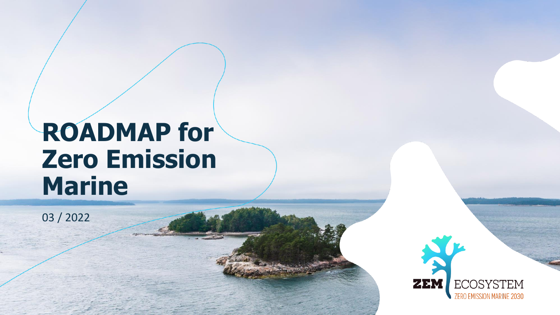# **ROADMAP for Zero Emission Marine**

03 / 2022

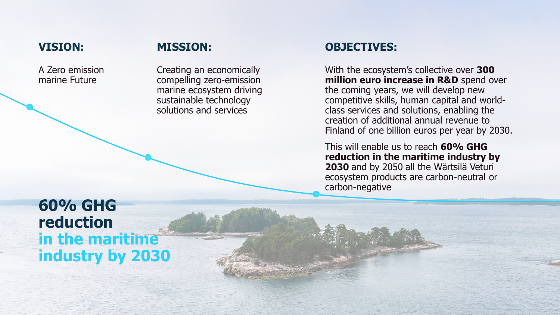### **VISION:**

### **MISSION:**

A Zero emission marine Future

Creating an economically compelling zero-emission marine ecosystem driving sustainable technology solutions and services

### **OBJECTIVES:**

With the ecosystem's collective over **300 million euro increase in R&D** spend over the coming years, we will develop new competitive skills, human capital and worldclass services and solutions, enabling the creation of additional annual revenue to Finland of one billion euros per year by 2030.

This will enable us to reach **60% GHG reduction in the maritime industry by 2030** and by 2050 all the Wärtsilä Veturi ecosystem products are carbon-neutral or carbon-negative

## **60% GHG reduction in the maritime industry by 2030**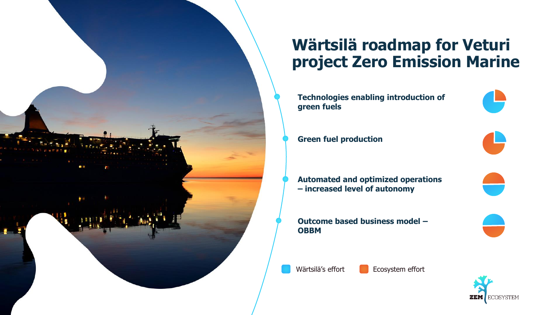

## **Wärtsilä roadmap for Veturi project Zero Emission Marine**

**Technologies enabling introduction of green fuels**

**Green fuel production** 

**Automated and optimized operations – increased level of autonomy**

**Outcome based business model – OBBM**



Wärtsilä's effort **E**cosystem effort

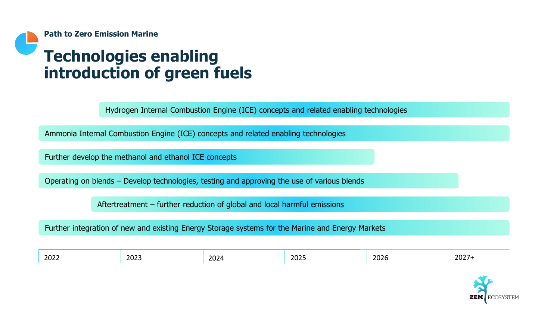

## **Technologies enabling introduction of green fuels**

Hydrogen Internal Combustion Engine (ICE) concepts and related enabling technologies

Ammonia Internal Combustion Engine (ICE) concepts and related enabling technologies

Further develop the methanol and ethanol ICE concepts

Operating on blends – Develop technologies, testing and approving the use of various blends

Aftertreatment – further reduction of global and local harmful emissions

Further integration of new and existing Energy Storage systems for the Marine and Energy Markets

| 2022 | 2023  | nnn<br>ZUZ' | . 2027<br>2025 | $\sim$ $\sim$ $\sim$<br>ZUZD | 202<br>-92 |
|------|-------|-------------|----------------|------------------------------|------------|
|      | _____ |             |                |                              | _____      |

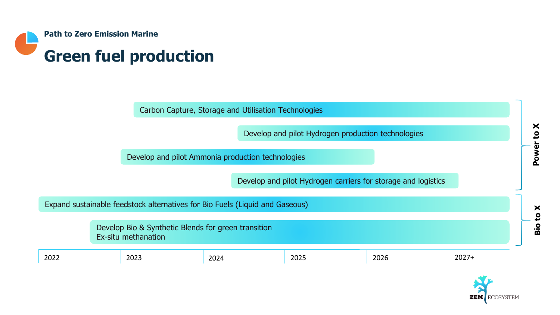

|                                                                            |  |                                                                              | Carbon Capture, Storage and Utilisation Technologies |                                                               |        |         |               |
|----------------------------------------------------------------------------|--|------------------------------------------------------------------------------|------------------------------------------------------|---------------------------------------------------------------|--------|---------|---------------|
|                                                                            |  |                                                                              |                                                      | Develop and pilot Hydrogen production technologies            |        |         | ×<br><u>م</u> |
|                                                                            |  |                                                                              | Develop and pilot Ammonia production technologies    |                                                               |        |         | <b>Power</b>  |
|                                                                            |  |                                                                              |                                                      | Develop and pilot Hydrogen carriers for storage and logistics |        |         |               |
|                                                                            |  | Expand sustainable feedstock alternatives for Bio Fuels (Liquid and Gaseous) |                                                      |                                                               |        |         | ×             |
| Develop Bio & Synthetic Blends for green transition<br>Ex-situ methanation |  |                                                                              |                                                      |                                                               | Bio to |         |               |
| 2022                                                                       |  | 2023                                                                         | 2024                                                 | 2025                                                          | 2026   | $2027+$ |               |
|                                                                            |  |                                                                              |                                                      |                                                               |        |         |               |

**ZEM** ECOSYSTEM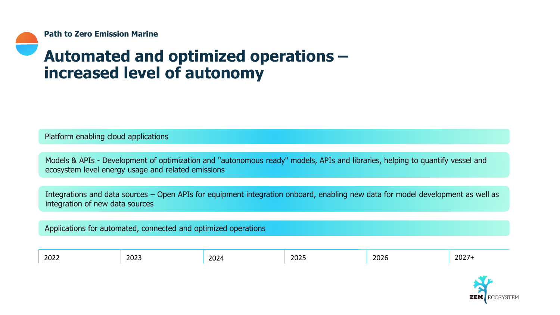## **Automated and optimized operations – increased level of autonomy**

Platform enabling cloud applications

Models & APIs - Development of optimization and "autonomous ready" models, APIs and libraries, helping to quantify vessel and ecosystem level energy usage and related emissions

Integrations and data sources – Open APIs for equipment integration onboard, enabling new data for model development as well as integration of new data sources

Applications for automated, connected and optimized operations

| 2023<br>2022<br>____ | . רחר<br>202 <sup>c</sup> | $\sim$ $\sim$ $\sim$ $\sim$<br>ZUZJ | 202c<br>∠∪∠o<br>_____ | วกวร<br>ZUZ I |
|----------------------|---------------------------|-------------------------------------|-----------------------|---------------|
|----------------------|---------------------------|-------------------------------------|-----------------------|---------------|

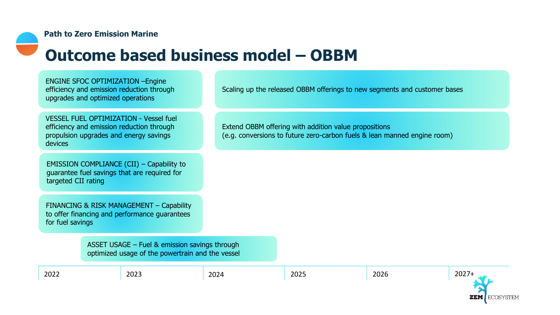#### **Path to Zero Emission Marine**

## **Outcome based business model – OBBM**

ENGINE SFOC OPTIMIZATION –Engine efficiency and emission reduction through upgrades and optimized operations

VESSEL FUEL OPTIMIZATION - Vessel fuel efficiency and emission reduction through propulsion upgrades and energy savings devices

EMISSION COMPLIANCE (CII) – Capability to guarantee fuel savings that are required for targeted CII rating

FINANCING & RISK MANAGEMENT – Capability to offer financing and performance guarantees for fuel savings

ASSET USAGE – Fuel & emission savings through

Scaling up the released OBBM offerings to new segments and customer bases

Extend OBBM offering with addition value propositions (e.g. conversions to future zero-carbon fuels & lean manned engine room)

optimized usage of the powertrain and the vessel

| 2022 | $\sim$<br><b>LULJ</b> | חרחר<br>تتملم | วกวี<br>ZUZO | $\sim$ $\sim$ $\sim$<br>,,<br>ZUZ I |
|------|-----------------------|---------------|--------------|-------------------------------------|
|      |                       |               |              |                                     |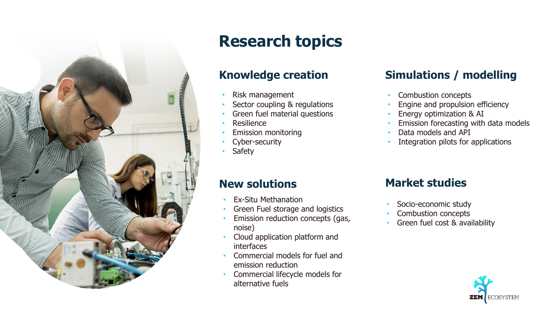

## **Research topics**

- Risk management
- Sector coupling & regulations
- Green fuel material questions
- **Resilience**
- Emission monitoring
- Cyber-security
- **Safety**

### **Knowledge creation Simulations / modelling**

- Combustion concepts
- Engine and propulsion efficiency
- Energy optimization & AI
- Emission forecasting with data models
- Data models and API
- Integration pilots for applications

### **New solutions**

- Ex-Situ Methanation
- Green Fuel storage and logistics
- Emission reduction concepts (gas, noise)
- Cloud application platform and interfaces
- Commercial models for fuel and emission reduction
- Commercial lifecycle models for alternative fuels

### **Market studies**

- Socio-economic study
- Combustion concepts
- Green fuel cost & availability